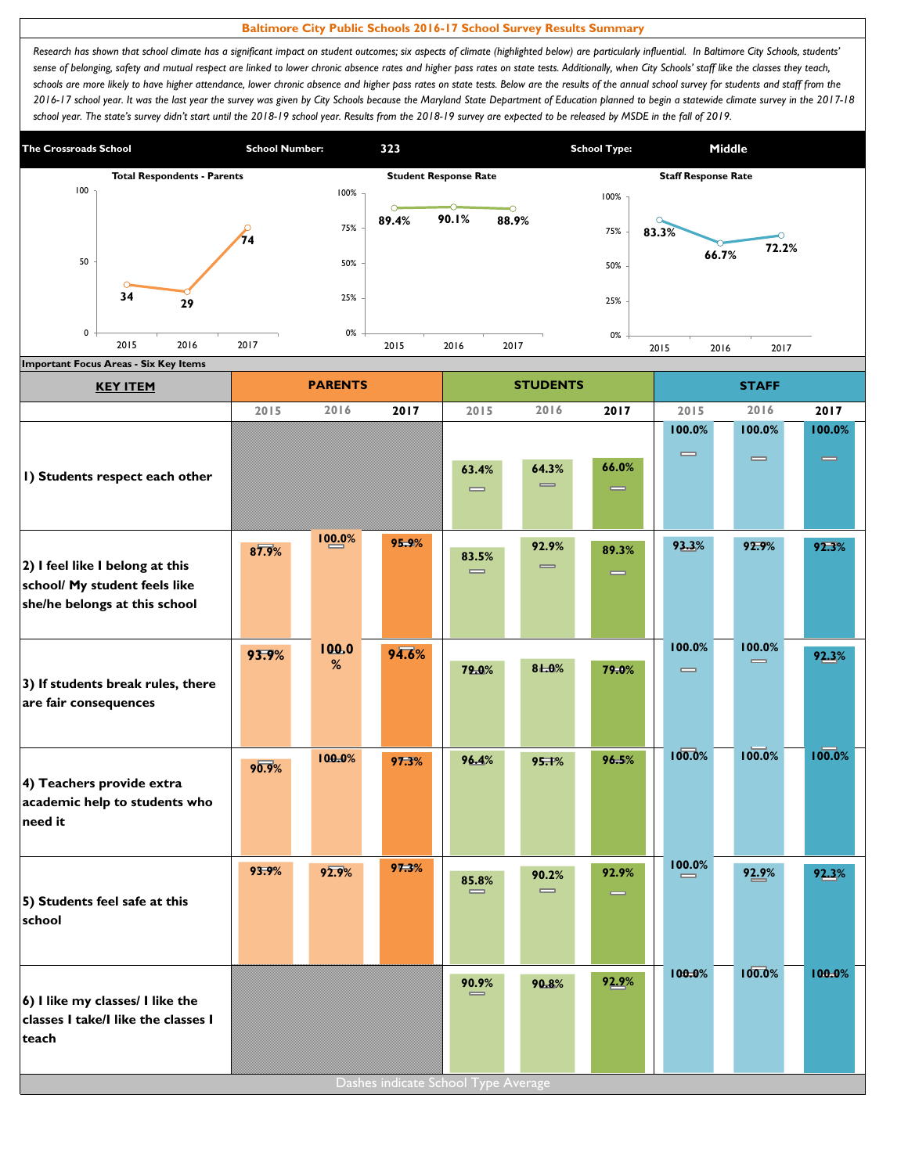## **Baltimore City Public Schools 2016-17 School Survey Results Summary**

Research has shown that school climate has a significant impact on student outcomes; six aspects of climate (highlighted below) are particularly influential. In Baltimore City Schools, students' sense of belonging, safety and mutual respect are linked to lower chronic absence rates and higher pass rates on state tests. Additionally, when City Schools' staff like the classes they teach, schools are more likely to have higher attendance, lower chronic absence and higher pass rates on state tests. Below are the results of the annual school survey for students and staff from the *2016-17 school year. It was the last year the survey was given by City Schools because the Maryland State Department of Education planned to begin a statewide climate survey in the 2017-18*  school year. The state's survey didn't start until the 2018-19 school year. Results from the 2018-19 survey are expected to be released by MSDE in the fall of 2019.



| <b>KEY ITEM</b>                                                |       | <b>PARENTS</b> |       |                                       | <b>STUDENTS</b>                       |          |                              | <b>STAFF</b>                 |          |
|----------------------------------------------------------------|-------|----------------|-------|---------------------------------------|---------------------------------------|----------|------------------------------|------------------------------|----------|
|                                                                | 2015  | 2016           | 2017  | 2015                                  | 2016                                  | 2017     | 2015                         | 2016                         | 2017     |
|                                                                |       |                |       |                                       |                                       |          | 100.0%                       | 100.0%                       | 100.0%   |
|                                                                |       |                |       |                                       |                                       |          | $\qquad \qquad \blacksquare$ | $\qquad \qquad \blacksquare$ | $\equiv$ |
| I) Students respect each other                                 |       |                |       | 63.4%<br>$\qquad \qquad \blacksquare$ | 64.3%<br>$\qquad \qquad \blacksquare$ | 66.0%    |                              |                              |          |
|                                                                |       |                |       |                                       |                                       | —        |                              |                              |          |
|                                                                |       |                |       |                                       |                                       |          |                              |                              |          |
|                                                                | 87.9% | 100.0%         | 95.9% | 83.5%                                 | 92.9%                                 | 89.3%    | 93.3%                        | 92.9%                        | 92.3%    |
| 2) I feel like I belong at this                                |       |                |       | $\qquad \qquad \blacksquare$          | $\equiv$                              | $\equiv$ |                              |                              |          |
| school/ My student feels like<br>she/he belongs at this school |       |                |       |                                       |                                       |          |                              |                              |          |
|                                                                |       |                |       |                                       |                                       |          |                              |                              |          |
|                                                                | 93.9% | 100.0          | 94.6% |                                       |                                       |          | 100.0%                       | 100.0%                       |          |
|                                                                |       | %              |       | 79.0%                                 | 81.0%                                 | 79.0%    | $\qquad \qquad \blacksquare$ | $\qquad \qquad \blacksquare$ | 92.3%    |
| 3) If students break rules, there<br>are fair consequences     |       |                |       |                                       |                                       |          |                              |                              |          |
|                                                                |       |                |       |                                       |                                       |          |                              |                              |          |
|                                                                |       |                |       |                                       |                                       |          |                              |                              |          |
|                                                                | 90.9% | 100.0%         | 97.3% | 96.4%                                 | 95.1%                                 | 96.5%    | 100.0%                       | 100.0%                       | 100.0%   |
| 4) Teachers provide extra                                      |       |                |       |                                       |                                       |          |                              |                              |          |
| academic help to students who<br>need it                       |       |                |       |                                       |                                       |          |                              |                              |          |
|                                                                |       |                |       |                                       |                                       |          |                              |                              |          |
|                                                                | 93.9% | 92.9%          | 97.3% |                                       |                                       | 92.9%    | 100.0%                       |                              |          |
|                                                                |       |                |       | 85.8%<br>$\equiv$                     | 90.2%<br>$\qquad \qquad \blacksquare$ |          |                              | 92.9%                        | 92.3%    |
| 5) Students feel safe at this                                  |       |                |       |                                       |                                       |          |                              |                              |          |
| school                                                         |       |                |       |                                       |                                       |          |                              |                              |          |
|                                                                |       |                |       |                                       |                                       |          |                              |                              |          |
|                                                                |       |                |       | 90.9%                                 | 90.8%                                 | 92.9%    | 100.0%                       | 100.0%                       | 100.0%   |
| 6) I like my classes/ I like the                               |       |                |       |                                       |                                       |          |                              |                              |          |
| classes I take/I like the classes I                            |       |                |       |                                       |                                       |          |                              |                              |          |
| teach                                                          |       |                |       |                                       |                                       |          |                              |                              |          |
|                                                                |       |                |       | Dashes indicate School Type Average   |                                       |          |                              |                              |          |